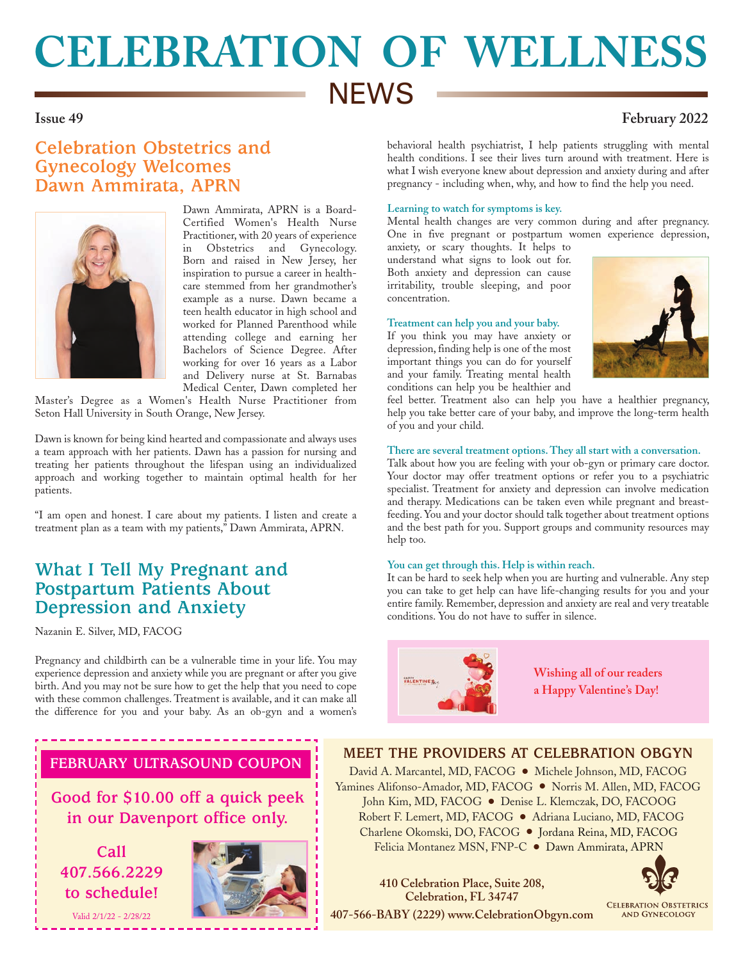# **CELEBRATION OF WELLNESS NEWS**

## **Issue 49 February 2022**

# **Celebration Obstetrics and Gynecology Welcomes Dawn Ammirata, APRN**



Dawn Ammirata, APRN is a Board-Certified Women's Health Nurse Practitioner, with 20 years of experience in Obstetrics and Gynecology. Born and raised in New Jersey, her inspiration to pursue a career in healthcare stemmed from her grandmother's example as a nurse. Dawn became a teen health educator in high school and worked for Planned Parenthood while attending college and earning her Bachelors of Science Degree. After working for over 16 years as a Labor and Delivery nurse at St. Barnabas Medical Center, Dawn completed her

Master's Degree as a Women's Health Nurse Practitioner from Seton Hall University in South Orange, New Jersey.

Dawn is known for being kind hearted and compassionate and always uses a team approach with her patients. Dawn has a passion for nursing and treating her patients throughout the lifespan using an individualized approach and working together to maintain optimal health for her patients.

"I am open and honest. I care about my patients. I listen and create a treatment plan as a team with my patients," Dawn Ammirata, APRN.

# **What I Tell My Pregnant and Postpartum Patients About Depression and Anxiety**

Nazanin E. Silver, MD, FACOG

Pregnancy and childbirth can be a vulnerable time in your life. You may experience depression and anxiety while you are pregnant or after you give birth. And you may not be sure how to get the help that you need to cope with these common challenges. Treatment is available, and it can make all the difference for you and your baby. As an ob-gyn and a women's

behavioral health psychiatrist, I help patients struggling with mental health conditions. I see their lives turn around with treatment. Here is what I wish everyone knew about depression and anxiety during and after pregnancy - including when, why, and how to find the help you need.

### **Learning to watch for symptoms is key.**

Mental health changes are very common during and after pregnancy. One in five pregnant or postpartum women experience depression,

anxiety, or scary thoughts. It helps to understand what signs to look out for. Both anxiety and depression can cause irritability, trouble sleeping, and poor concentration.

#### **Treatment can help you and your baby.**

If you think you may have anxiety or depression, finding help is one of the most important things you can do for yourself and your family. Treating mental health conditions can help you be healthier and



feel better. Treatment also can help you have a healthier pregnancy, help you take better care of your baby, and improve the long-term health of you and your child.

### **There are several treatment options. They all start with a conversation.**

Talk about how you are feeling with your ob-gyn or primary care doctor. Your doctor may offer treatment options or refer you to a psychiatric specialist. Treatment for anxiety and depression can involve medication and therapy. Medications can be taken even while pregnant and breastfeeding. You and your doctor should talk together about treatment options and the best path for you. Support groups and community resources may help too.

#### **You can get through this. Help is within reach.**

It can be hard to seek help when you are hurting and vulnerable. Any step you can take to get help can have life-changing results for you and your entire family. Remember, depression and anxiety are real and very treatable conditions. You do not have to suffer in silence.



**Wishing all of our readers a Happy Valentine's Day!**

### **FEBRUARY ULTRASOUND COUPON**

**Good for \$10.00 off a quick peek in our Davenport office only.**

**Call 407.566.2229 to schedule!**

Valid 2/1/22 - 2/28/22



## **MEET THE PROVIDERS AT CELEBRATION OBGYN**

David A. Marcantel, MD, FACOG ● Michele Johnson, MD, FACOG Yamines Alifonso-Amador, MD, FACOG ● Norris M. Allen, MD, FACOG John Kim, MD, FACOG ● Denise L. Klemczak, DO, FACOOG Robert F. Lemert, MD, FACOG ● Adriana Luciano, MD, FACOG Charlene Okomski, DO, FACOG ● Jordana Reina, MD, FACOG Felicia Montanez MSN, FNP-C ● Dawn Ammirata, APRN

**Celebration, FL 34747 407-566-BABY (2229) www.CelebrationObgyn.com**

**410 Celebration Place, Suite 208,**